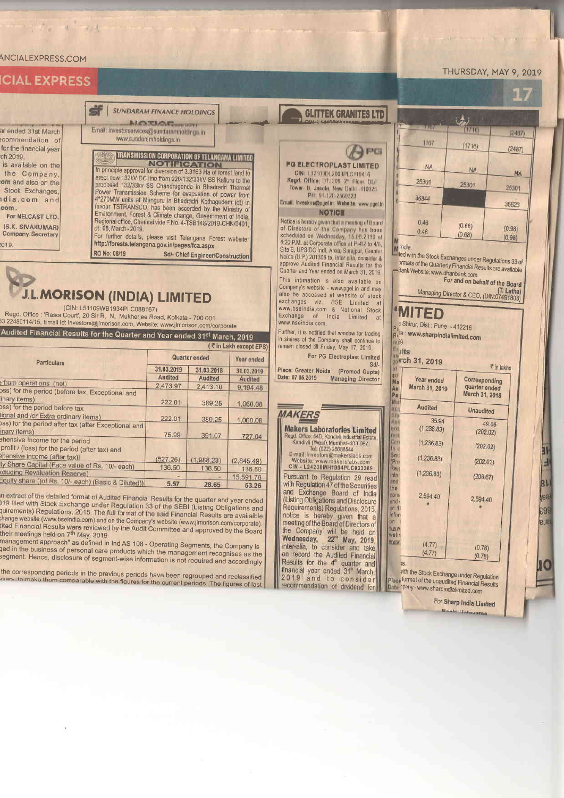## ANCIALEXPRESS.COM

A

 $\frac{1}{25}$ <br> $\frac{1}{25}$ 

lic ງຮ in  $\frac{1}{2}$ 

 $-1$ 

| <b>THE EVEREDS</b>                                                                                                                                                                                                                                   |                                                                                                                                                                                                                      |                                                                                                                                                                                                                                                                                                                                                                                                                                                                                                   |                |                                                                                       |                                                                                                                                                                                                                                                                                                                                                                                                                                 |                                                                                                                                                                                                                                                                             |                                 | i liy      |  |
|------------------------------------------------------------------------------------------------------------------------------------------------------------------------------------------------------------------------------------------------------|----------------------------------------------------------------------------------------------------------------------------------------------------------------------------------------------------------------------|---------------------------------------------------------------------------------------------------------------------------------------------------------------------------------------------------------------------------------------------------------------------------------------------------------------------------------------------------------------------------------------------------------------------------------------------------------------------------------------------------|----------------|---------------------------------------------------------------------------------------|---------------------------------------------------------------------------------------------------------------------------------------------------------------------------------------------------------------------------------------------------------------------------------------------------------------------------------------------------------------------------------------------------------------------------------|-----------------------------------------------------------------------------------------------------------------------------------------------------------------------------------------------------------------------------------------------------------------------------|---------------------------------|------------|--|
|                                                                                                                                                                                                                                                      | <b>SUNDARAM FINANCE HOLDINGS</b><br><b>ALCUTEROMETHING</b>                                                                                                                                                           |                                                                                                                                                                                                                                                                                                                                                                                                                                                                                                   |                |                                                                                       | <b>GLITTEK GRANITES LTD</b>                                                                                                                                                                                                                                                                                                                                                                                                     |                                                                                                                                                                                                                                                                             | $\mathbf{A}$                    |            |  |
| ended 31st March<br>ommendation of                                                                                                                                                                                                                   | Email: investorservices@sundaramholdings.in<br>www.sundaramholdings.in<br>TRANSMISSION CORPORATION OF TELANGANA LIMITED<br><b>NOTIFICATION</b><br>In principle approval for diversion of 3.3163 Ha of forest land to |                                                                                                                                                                                                                                                                                                                                                                                                                                                                                                   |                |                                                                                       |                                                                                                                                                                                                                                                                                                                                                                                                                                 | шил                                                                                                                                                                                                                                                                         | (1710)                          | (2487)     |  |
| r the financial year                                                                                                                                                                                                                                 |                                                                                                                                                                                                                      |                                                                                                                                                                                                                                                                                                                                                                                                                                                                                                   |                |                                                                                       | <b>FINES</b>                                                                                                                                                                                                                                                                                                                                                                                                                    | 1167                                                                                                                                                                                                                                                                        | (1716)                          | (2487)     |  |
| 2019.<br>available on the<br>he Company,                                                                                                                                                                                                             |                                                                                                                                                                                                                      |                                                                                                                                                                                                                                                                                                                                                                                                                                                                                                   |                |                                                                                       | PG ELECTROPLAST LIMITED<br>CIN: 1 1210001 2003PLC 119416<br>Regd. Office: DTJ209, 2 <sup>nd</sup> Floor, DLF<br>Tower D. Jasola, New Delhi 110025<br>PH: 01-120-2560323<br>Email: Investors@pgel.in, Website: www.pgel.in<br><b>NOTICE</b><br>Notice is hereby given that a meeting of Board<br>of Directors of the Company has been<br>scheduled on Wednesday, 15.05.2019 at<br>4:20 P.M. at Corporate office at P-4/2 to 4/6, | <b>NA</b>                                                                                                                                                                                                                                                                   | <b>NA</b>                       | <b>NA</b>  |  |
| m and also on the<br>Stock Exchanges,                                                                                                                                                                                                                |                                                                                                                                                                                                                      | erect new 132kV DC line from 220/132/33kV SS Kalluru to the<br>proposed 132/33kv SS Chandrugonda in Bhadradri Thermal<br>Power Transmission Scheme for evacuation of power from<br>4*270MW units at Manguru in Bhadradri Kothagudem (dt) in<br>favour TSTRANSCO, has been accorded by the Ministry of<br>Environment, Forest & Climate change, Government of India.<br>Regional office, Chennai vide F.No. 4-TSB148/2019-CHN/0401,<br>For further details, please visit Telangana Forest website: |                |                                                                                       |                                                                                                                                                                                                                                                                                                                                                                                                                                 | 25301                                                                                                                                                                                                                                                                       | 25301                           | 25301      |  |
| lia.com and                                                                                                                                                                                                                                          | 36844                                                                                                                                                                                                                |                                                                                                                                                                                                                                                                                                                                                                                                                                                                                                   |                |                                                                                       |                                                                                                                                                                                                                                                                                                                                                                                                                                 |                                                                                                                                                                                                                                                                             | 35623                           |            |  |
| om.<br>For NELCAST LTD.<br>S.K. SIVAKUMAR)<br>ompany Secretary                                                                                                                                                                                       | 0.46<br>0.46                                                                                                                                                                                                         |                                                                                                                                                                                                                                                                                                                                                                                                                                                                                                   |                |                                                                                       |                                                                                                                                                                                                                                                                                                                                                                                                                                 | (0.68)<br>(0.68)                                                                                                                                                                                                                                                            | (0.98)<br>(0.98)                |            |  |
| http://forests.telangana.gov.in/pages/fca.aspx<br>19.<br>RO No: 08/19<br>Sd/- Chief Engineer/Construction                                                                                                                                            |                                                                                                                                                                                                                      |                                                                                                                                                                                                                                                                                                                                                                                                                                                                                                   |                |                                                                                       | Site B, UPSIDC Indl. Area, Surajpur, Greater<br>Noida (U.P.) 201306 to, inter alia, consider &<br>approve Audited Financial Results for the<br>Quarter and Year ended on March 31, 2019.<br>This intimation is also available on                                                                                                                                                                                                | M India.<br>lined with the Stock Exchanges under Regulations 33 of<br>ormats of the Quarterly Financial Results are available<br>Bank Website: www.dhanbank.com<br>For and on behalf of the Board<br>(T. Latha)<br>Managing Director & CEO, (DIN:07491803)<br><b>"MITED</b> |                                 |            |  |
| <b>J.L.MORISON (INDIA) LIMITED</b><br>(CIN: L51109WB1934PLC088167)<br>Regd. Office : 'Rasoi Court', 20 Sir R. N. Mukherjee Road, Kolkata - 700 001                                                                                                   |                                                                                                                                                                                                                      |                                                                                                                                                                                                                                                                                                                                                                                                                                                                                                   |                |                                                                                       | Company's website - www.pgel.in and may<br>also be accessed at website of stock<br>exchanges viz. BSE Limited at<br>www.bseindia.com & National Stock<br>Exchange of India Limited at                                                                                                                                                                                                                                           |                                                                                                                                                                                                                                                                             |                                 |            |  |
| 22480114/15, Email Id: investors@jlmorison.com, Website: www.jlmorison.com/corporate<br>www.nseindia.com.<br>Further, it is notified that window for trading<br>udited Financial Results for the Quarter and Year ended 31 <sup>st</sup> March, 2019 |                                                                                                                                                                                                                      |                                                                                                                                                                                                                                                                                                                                                                                                                                                                                                   |                |                                                                                       |                                                                                                                                                                                                                                                                                                                                                                                                                                 | a Shirur, Dist : Pune - 412216<br>Ri <sup>te</sup> : www.sharpindialimited.com                                                                                                                                                                                              |                                 |            |  |
| (₹ in Lakh except EPS)                                                                                                                                                                                                                               |                                                                                                                                                                                                                      |                                                                                                                                                                                                                                                                                                                                                                                                                                                                                                   |                | in shares of the Company shall continue to<br>remain closed till Friday, May 17, 2019 | 1009                                                                                                                                                                                                                                                                                                                                                                                                                            |                                                                                                                                                                                                                                                                             |                                 |            |  |
| <b>Particulars</b>                                                                                                                                                                                                                                   |                                                                                                                                                                                                                      | Quarter ended                                                                                                                                                                                                                                                                                                                                                                                                                                                                                     |                | Year ended                                                                            | For PG Electroplast Limited<br>$Sd$ .                                                                                                                                                                                                                                                                                                                                                                                           | Exults                                                                                                                                                                                                                                                                      | <b>Mrch 31, 2019</b>            |            |  |
|                                                                                                                                                                                                                                                      |                                                                                                                                                                                                                      | 31.03.2019                                                                                                                                                                                                                                                                                                                                                                                                                                                                                        | 31.03.2018     | 31.03.2019                                                                            | Place: Greater Noida (Promod Gupta)                                                                                                                                                                                                                                                                                                                                                                                             | $ $ scł                                                                                                                                                                                                                                                                     |                                 | ₹ in lakhs |  |
| rom operations (net)                                                                                                                                                                                                                                 |                                                                                                                                                                                                                      | <b>Audited</b><br>2,473.97                                                                                                                                                                                                                                                                                                                                                                                                                                                                        | <b>Audited</b> | <b>Audited</b>                                                                        | Date: 07.05.2019<br><b>Managing Director</b>                                                                                                                                                                                                                                                                                                                                                                                    | Year ended<br>Ma                                                                                                                                                                                                                                                            | Corresponding                   |            |  |
| s) for the period (before tax, Exceptional and                                                                                                                                                                                                       |                                                                                                                                                                                                                      |                                                                                                                                                                                                                                                                                                                                                                                                                                                                                                   | 2,413.10       | 9,194.48                                                                              |                                                                                                                                                                                                                                                                                                                                                                                                                                 | March 31, 2019<br>A <sub>B1</sub><br>Pa                                                                                                                                                                                                                                     | quarter ended<br>March 31, 2018 |            |  |
| ary items)                                                                                                                                                                                                                                           |                                                                                                                                                                                                                      | 222.01                                                                                                                                                                                                                                                                                                                                                                                                                                                                                            | 389.25         | 1,060.08                                                                              |                                                                                                                                                                                                                                                                                                                                                                                                                                 | MI                                                                                                                                                                                                                                                                          |                                 |            |  |
| s) for the period before tax                                                                                                                                                                                                                         |                                                                                                                                                                                                                      |                                                                                                                                                                                                                                                                                                                                                                                                                                                                                                   |                |                                                                                       | <b>MAKERS</b>                                                                                                                                                                                                                                                                                                                                                                                                                   | <b>Audited</b>                                                                                                                                                                                                                                                              | Unaudited                       |            |  |
| nal and /or Extra ordinary items)<br>s) for the period after tax (after Exceptional and                                                                                                                                                              |                                                                                                                                                                                                                      | 222.01                                                                                                                                                                                                                                                                                                                                                                                                                                                                                            | 389.25         | 1,060.08                                                                              |                                                                                                                                                                                                                                                                                                                                                                                                                                 | 我好                                                                                                                                                                                                                                                                          | 35.94                           | 49.06      |  |
| ary items)                                                                                                                                                                                                                                           |                                                                                                                                                                                                                      | 75.99                                                                                                                                                                                                                                                                                                                                                                                                                                                                                             |                |                                                                                       | <b>Makers Laboratories Limited</b>                                                                                                                                                                                                                                                                                                                                                                                              | (1, 236.83)<br>mrid                                                                                                                                                                                                                                                         |                                 | (202.02)   |  |
| ensive Income for the period<br>of / (loss) for the pariad (after tou) ---                                                                                                                                                                           |                                                                                                                                                                                                                      |                                                                                                                                                                                                                                                                                                                                                                                                                                                                                                   | 391.07         | 727.04                                                                                | Regd. Office: 54D, Kandivii Industrial Estate,<br>Kandivli (West), Mumbai-400 067.<br>Tal: (022) 28899544                                                                                                                                                                                                                                                                                                                       | ruo<br>Con<br>(1, 236, 83)                                                                                                                                                                                                                                                  |                                 | (202.02)   |  |

profit / (loss) for the period (after tax) and chensive income (after tax)]  $(527.26)$  $(1.988.23)$  $(2,845.49)$ ty Share Capital (Face value of Rs. 10/- each) 136.50 136.50 136.50 coluding Revaluation Reserve)<br>Equity share ((of Rs. 10/- each) (Basic & Diluted)) 15,591.76 5.57 28.65 53.26

In extract of the detailed format of Audited Financial Results for the quarter and year ended<br>119 filed with Stock Exchange under Regulation 33 of the SEBI (Listing Obligations and<br>quirements) Regulations, 2015. The full f

men meetings held on realistical is.<br>management approach" as defined in Ind AS 108 - Operating Segments, the Company is<br>ged in the business of personal care products which the management recognises as the<br>segment. Hence, d

the corresponding periods in the previous periods have been regrouped and reclassified<br>ssarv, to make them comparable with the figures for the current periods. The figures of last

Tat (022) 26688544<br>E-mail: investors@makerslabs.com<br>Website: www.makerslabs.com<br>CIN - L24230MH1984PLC033389 Pursuant to Regulation 29 read<br>with Regulation 47 of the Securities<br>and Exchange Board of India<br>(Listing Obligations and Disclosure Requirements) Regulations, 2015, notice is hereby given that a<br>meeting of the Board of Directors of meeting of the Board of Directors of<br>the Company will be held on<br>Wednesday, 22<sup>rd</sup> May, 2019,<br>inter-alia, to consider and take<br>on record the Audited Financial<br>Results for the 4<sup>w</sup> quarter and<br>financial year ended 31<sup>\*</sup> Ma

 $(1, 236.83)$ Inte<br>IInd  $(206.67)$ the<br>commend<br>on 1<br>inform 2,594.40 2,594.40 web WWW  $(4.77)$  $(0.78)$  $(4.77)$  $(0.78)$  $1S$ 

 $(1, 236.83)$ 

(Pro

Rep

with the Stock Exchange under Regulation<br>Place format of the unaudited Financial Results<br>Date 3pany - www.sharpindialimited.com

For Sharp India Limited Manki Hatswams

 $(202.02)$ 

E

81

sa

69

BIE

## THURSDAY, MAY 9, 2019

 $\alpha$